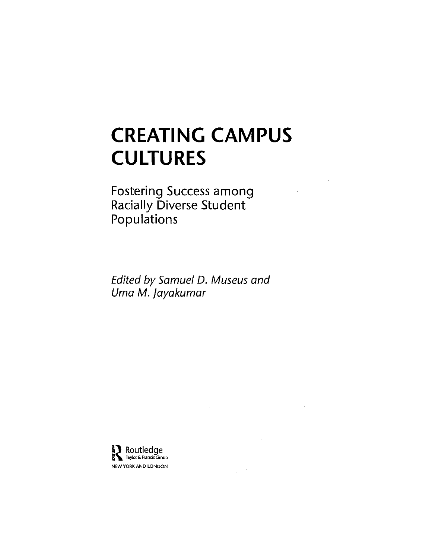## **CREATING CAMPUS CULTURES**

 $\label{eq:2} \begin{split} \mathcal{L}_{\text{max}}(\mathbf{r}) = \mathcal{L}_{\text{max}}(\mathbf{r}) \mathcal{L}_{\text{max}}(\mathbf{r}) \\ = \mathcal{L}_{\text{max}}(\mathbf{r}) \mathcal{L}_{\text{max}}(\mathbf{r}) \mathcal{L}_{\text{max}}(\mathbf{r}) \mathcal{L}_{\text{max}}(\mathbf{r}) \mathcal{L}_{\text{max}}(\mathbf{r}) \mathcal{L}_{\text{max}}(\mathbf{r}) \mathcal{L}_{\text{max}}(\mathbf{r}) \mathcal{L}_{\text{max}}(\mathbf{r}) \mathcal{L}_{\text{max}}(\mathbf{r}) \$ 

 $\label{eq:2.1} \mathcal{L}(\mathcal{L}^{\text{max}}_{\mathcal{L}}(\mathcal{L}^{\text{max}}_{\mathcal{L}})) \leq \mathcal{L}(\mathcal{L}^{\text{max}}_{\mathcal{L}}(\mathcal{L}^{\text{max}}_{\mathcal{L}}))$ 

 $\mathcal{A}^{\mathcal{A}}$ 

 $\sim 10^{11}$  km  $^{-1}$ 

 $\label{eq:2.1} \frac{1}{2} \int_{\mathbb{R}^3} \frac{1}{\sqrt{2}} \, \mathrm{d} \mathcal{L} \, \frac{1}{2} \int_{\mathbb{R}^3} \frac{1}{\sqrt{2}} \, \mathrm{d} \mathcal{L} \, \frac{1}{2} \int_{\mathbb{R}^3} \frac{1}{\sqrt{2}} \, \mathrm{d} \mathcal{L} \, \frac{1}{2} \int_{\mathbb{R}^3} \frac{1}{\sqrt{2}} \, \mathrm{d} \mathcal{L} \, \frac{1}{2} \int_{\mathbb{R}^3} \frac{1}{\sqrt{2}} \, \mathrm{d$ 

Fostering Success among Racially Diverse Student Populations

 $\mathcal{L}^{\text{max}}_{\text{max}}$  and  $\mathcal{L}^{\text{max}}_{\text{max}}$ 

Edited by Samuel D. Museus and Uma M. ]ayakumar

 $\mathcal{L}^{\text{max}}_{\text{max}}$  and  $\mathcal{L}^{\text{max}}_{\text{max}}$ 

 $\sum_{n=1}^{\infty}$  Routledge NEW YORK AND LONDON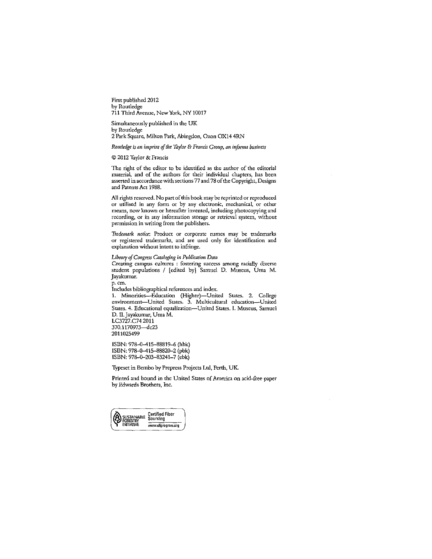First published 2012 by Routledge 711 Third Avenue, New York, NY 10017

Simultaneously published in the UK by Routledge 2 Park Square, Milton Park, Abingdon, Oxon OX14 4RN

*Routledge is an imprint* cif *the Taylor* & *Francis Group, an* infom~a *business* 

#### © 2012 Taylor & Francis

The right of the editor to be identified as the author of the editorial material, and of the authors for their individual chapters, has been asserted in accordance with sections 77 and 78 of the Copyright, Designs and Patents Act 1988.

All rights reserved. No part of this book may be reprinted or reproduced or utilised in any form or by any electronic, mechanical, or other means, now known or hereafter invented, including photocopying and recording, or in any information storage or retrieval system, without permission in writing from the publishers.

*Trademark notice:* Product or corporate names may be trademarks or registered trademarks, and are used only for identification and explanation without intent to infringe.

#### *Library* cif *Congress Catalogi11g in Publication Data*

Creating campus cultures : fostering success among racially diverse student populations / [edited by] Samuel D. Museus, Uma M. Jayakumar.

p.cm. Includes bibliographical references and index.

1. Minorities-Education (Higher)-United States. 2. College environment-United States. 3. Multicultural education-United States. 4. Educational equalization-United States. I. Museus, Samuel D. II.Jayakumar, Uma M. LC3727.C74 2011 370.1170973-dc23 2011025499

ISBN: 97B-0-415-88819-6 (hbk) ISBN: 978-0-415-88820-2 (pbk) ISBN: 978-0-203-83241-7 (ebk)

Typeset in Bembo by Prepress Projects Ltd, Perth, UK

Printed and bound in the United States of America on acid-free paper by Edwards Brothers, Inc.

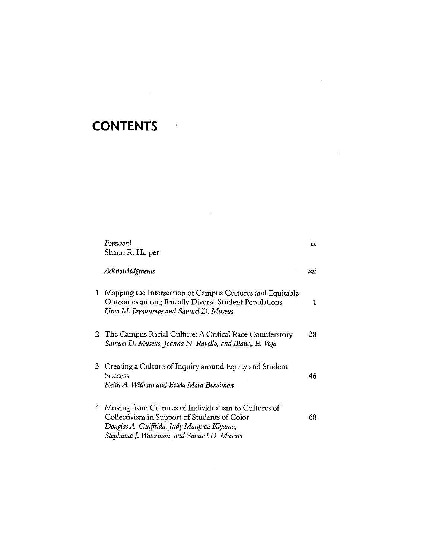## **CONTENTS**

 $\label{eq:2.1} \frac{1}{2} \sum_{i=1}^n \frac{1}{2} \sum_{j=1}^n \frac{1}{2} \sum_{j=1}^n \frac{1}{2} \sum_{j=1}^n \frac{1}{2} \sum_{j=1}^n \frac{1}{2} \sum_{j=1}^n \frac{1}{2} \sum_{j=1}^n \frac{1}{2} \sum_{j=1}^n \frac{1}{2} \sum_{j=1}^n \frac{1}{2} \sum_{j=1}^n \frac{1}{2} \sum_{j=1}^n \frac{1}{2} \sum_{j=1}^n \frac{1}{2} \sum_{j=1}^n \frac{$ 

|   | Foreword<br>Shaun R. Harper                                                                                                                                                                       | ix  |
|---|---------------------------------------------------------------------------------------------------------------------------------------------------------------------------------------------------|-----|
|   | Acknowledgments                                                                                                                                                                                   | xii |
| 1 | Mapping the Intersection of Campus Cultures and Equitable<br>Outcomes among Racially Diverse Student Populations<br>Uma M. Jayakumar and Samuel D. Museus                                         | 1   |
|   | 2 The Campus Racial Culture: A Critical Race Counterstory<br>Samuel D. Museus, Joanna N. Ravello, and Blanca E. Vega                                                                              | 28  |
|   | 3 Creating a Culture of Inquiry around Equity and Student<br><b>Success</b><br>Keith A. Witham and Estela Mara Bensimon                                                                           | 46  |
| 4 | Moving from Cultures of Individualism to Cultures of<br>Collectivism in Support of Students of Color<br>Douglas A. Guiffrida, Judy Marquez Kiyama,<br>Stephanie J. Waterman, and Samuel D. Museus | 68  |

 $\mathcal{L}^{\text{max}}_{\text{max}}$  and  $\mathcal{L}^{\text{max}}_{\text{max}}$ 

 $\mathcal{L}(\mathcal{L}^{\mathcal{L}})$  and  $\mathcal{L}(\mathcal{L}^{\mathcal{L}})$  and  $\mathcal{L}(\mathcal{L}^{\mathcal{L}})$  and  $\mathcal{L}(\mathcal{L}^{\mathcal{L}})$ 

 $\mathcal{L}^{\text{max}}_{\text{max}}$  and  $\mathcal{L}^{\text{max}}_{\text{max}}$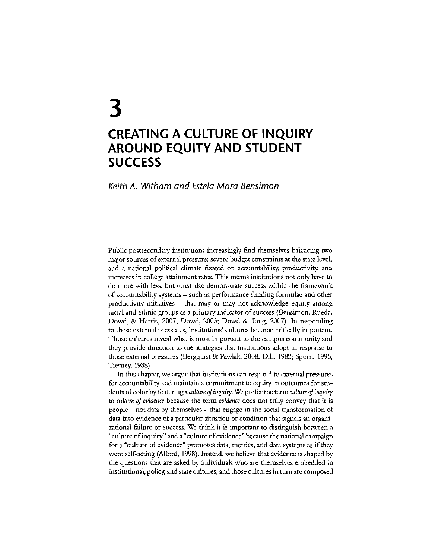# **3**

### **CREATING A CULTURE OF INQUIRY AROUND EQUITY AND STUDENT SUCCESS**

Keith *A.* Witham and Estela Mara Bensimon

Public postsecondary institutions increasingly find themselves balancing two **major sources of external pressure: severe budget constraints at the state level,**  and a national political climate fixated on accountability, productivity, and **increases in college attainment rates. This means institutions not only have to do more with less, but must also demonstrate success within the framework**  of accountability systems - such as performance funding formulae and other productivity initiatives  $-$  that may or may not acknowledge equity among **racial and ethnic groups as a primary indicator of success (Bensimon, Rueda,**  Dowd, & Harris, 2007; Dowd, 2003; Dowd & Tong, 2007). In responding **to these external pressures, institutions' cultures become critically important. Those cultures reveal what is most important to the campus community and they provide direction to the strategies that institutions adopt in response to**  those external pressures (Bergquist & Pawlak, 2008; Dill, 1982; Sporn, 1996; Tierney, 1988).

**In this chapter, we argue that institutions can respond to external pressures for accountability and maintain a commitment to equity in outcomes for stu**dents of color by fostering a *culture of inquiry*. We prefer the term *culture of inquiry* to *cuhure of evidence* because the term *evidence* does not fully convey that it is people - not data by themselves - that engage in the social transformation of **data into evidence of a particular situation or condition that signals an organizational failure or success. We think it is important to distinguish between a "culture of inquiry" and a "culture of evidence" because the national campaign for a "culture of evidence" promotes data, metrics, and data systems as if they**  were self-acting (Alford, 1998). Instead, we believe that evidence is shaped by the questions that are asked by individuals who are themselves embedded in **institutional, policy, and state cultures, and those cultures in turn are composed**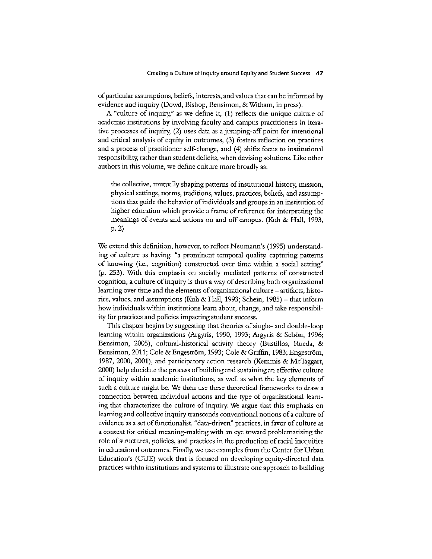**of particular assumptions, beliefs, interests, and values that can be informed by**  evidence and inquiry (Dowd, Bishop, Bensimon, & Witham, in press).

A "culture of inquiry," as we define it, (1) reflects the unique culture of **academic institutions by involving faculty and campus practitioners in itera**tive processes of inquiry, (2) uses data as a jumping-off point for intentional **and critical analysis of equity in outcomes, (3) fosters reflection on practices**  and a process of practitioner self-change, and (4) shifts focus to institutional **responsibility, rather than student deficits, when devising solutions. Like other authors in this volume, we define culture more broadly as:** 

**the collective, mutually shaping patterns of institutional history, mission, physical settings, norms, traditions, values, practices, beliefs, and assumptions that guide the behavior of individuals and groups in an institution of**  higher education which provide a frame of reference for interpreting the meanings of events and actions on and off campus. (Kuh & Hall, 1993, p. 2)

We extend this definition, however, to reflect Neumann's (1995) understand**ing of culture as having, "a prominent temporal quality, capturing patterns of knowing (i.e., cognition) constructed over time within a social setting"**  (p. 253). With this emphasis on socially mediated patterns of constructed **cognition, a culture of inquiry is thus a way of describing both organizational learning over time and the elements of organizational culture- artifacts, histo**ries, values, and assumptions (Kuh & Hall, 1993; Schein, 1985) - that inform **how individuals within institutions learn about, change, and take responsibility for practices and policies impacting student success.** 

This chapter begins by suggesting that theories of single- and double-loop learning within organizations (Argyris, 1990, 1993; Argyris & Schön, 1996; Bensimon, 2005), cultural-historical activity theory (Bustillos, Rueda, & Bensimon, 2011; Cole & Engeström, 1993; Cole & Griffin, 1983; Engeström, 1987, 2000, 2001), and participatory action research (Kemmis & McTaggart, 2000) help elucidate the process ofbuilding and sustaining an effective culture **of inquiry within academic institutions, as well as what the key elements of**  such a culture might be. We then use these theoretical frameworks to draw a **connection between individual actions and the type of organizational learn**ing that characterizes the culture of inquiry. We argue that this emphasis on **learning and collective inquiry transcends conventional notions of a culture of evidence as a set of functionalist, "data-driven" practices, in favor of culture as a context for critical meaning-making with an eye toward problematizing the**  role of structures, policies, and practices in the production of racial inequities **in educational outcomes. Finally, we use examples from the Center for Urban**  Education's (CUE) work that is focused on developing equity-directed data **practices within institutions and systems to illustrate one approach to building**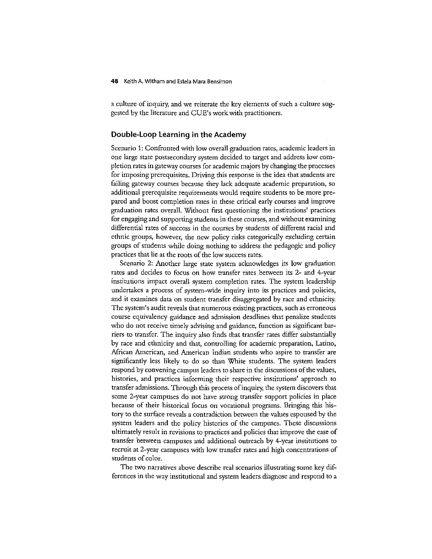a culture of inquiry, and we reiterate the key elements of such a culture suggested by the literature and CUE's work with practitioners.

#### Double-Loop Learning in the Academy

Scenario 1: Confronted with low overall graduation rates, academic leaders in one large state postsecondary system decided to target and address low completion rates in gateway courses for academic majors by changing the processes for imposing prerequisites. Driving this response is the idea that students are failing gateway courses because they lack adequate academic preparation, so additional prerequisite requirements would require students to be more prepared and boost completion rates in these critical early courses and improve graduation rates overall. Without first questioning the institutions' practices for engaging and supporting students in these courses, and without examining differential rates of success in the courses by students of different racial and ethnic groups, however, the new policy risks categorically excluding certain groups of students while doing nothing to address the pedagogic and policy practices that lie at the roots of the low success rates.

Scenario 2: Another large state system acknowledges its low graduation rates and decides to focus on how transfer rates between its 2- and 4-year institutions impact overall system completion rates. The system leadership undertakes a process of system-wide inquiry into its practices and policies, and it examines data on student transfer disaggregated by race and ethnicity. The system's audit reveals that numerous existing practices, such as erroneous course equivalency guidance and admission deadlines that penalize students who do not receive timely advising and guidance, function as significant barriers to transfer. The inquiry also finds that transfer rates differ substantially by race and ethnicity and that, controlling for academic preparation, Latino, Mrican American, and American Indian students who aspire to transfer are significantly less likely to do so than White students. The system leaders respond by convening campus leaders to share in the discussions of the values, histories, and practices informing their respective institutions' approach to transfer admissions. Through this process of inquiry, the system discovers that some 2-year campuses do not have strong transfer support policies in place because of their historical focus on vocational programs. Bringing this history to the surface reveals a contradiction between the values espoused by the system leaders and the policy histories of the campuses. These discussions ultimately result in revisions to practices and policies that improve the ease of transfer between campuses arid additional outreach by 4-year institutions to recruit at 2-year campuses with low transfer rates and high concentrations of students of color.

The two narratives above describe real scenarios illustrating some key differences in the way institutional and system leaders diagnose and respond to a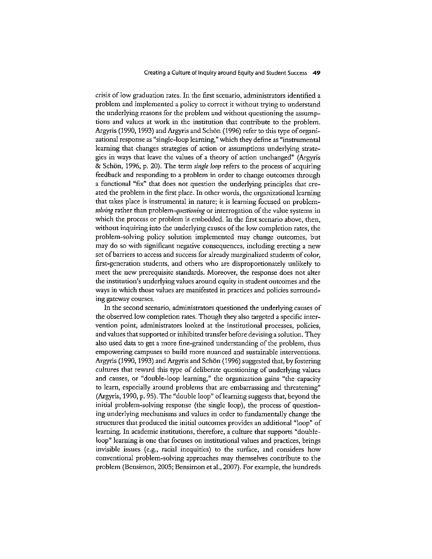**crisis of low graduation rates. In the first scenario, administrators identified a**  problem and implemented a policy to correct it without trying to understand the underlying reasons for the problem and without questioning the assump**tions and values at work in the institution that contribute to the problem.**  Argyris (1990, 1993) and Argyris and Schon (1996) refer to this type of organi**zational response as "single-loop learning,"\_ which they define as "instrumental**  learning that changes strategies of action or assumptions underlying strategies in ways that leave the values of a theory of action unchanged" (Argyris & Schon, 1996, p. 20). The term *single loop* refers to the process of acquiring feedback and responding to a problem in order to change outcomes through a functional "fix" that does not question the underlying principles that created the problem in the first place. In other words, the organizational learning **that takes place is instrumental in nature; it is learning focused on problem***solving* **rather than** *problem-questioning* **or interrogation of the value systems in**  which the process or problem is embedded. In the first scenario above, then, without inquiring into the underlying causes of the low completion rates, the problem-solving policy solution implemented may change outcomes, but **may do so with significant negative consequences, including erecting a new set of barriers to access and success for already marginalized students of color, first-generation students, and others who are disproportionately unlikely to meet the new prerequisite standards. Moreover, the response does not alter the institution's underlying values around equity in student outcomes and the ways in which those values are manifested in practices and policies surrounding gateway courses.** 

**In the second scenario, administrators questioned the underlying causes of**  the observed low completion rates. Though they also targeted a specific inter**vention point, administrators looked at the institutional processes, policies,**  and values that supported or inhibited transfer before devising a solution. They also used data to get a more fine-grained understanding of the problem, thus **empowering campuses to build more nuanced and sustainable interventions.**  Argyris (1990, 1993) and Argyris and Schön (1996) suggested that, by fostering cultures that reward this type of deliberate questioning of underlying values **and causes, or "double-loop learning," the organization gains "the capacity to learn, especially around problems that are embarrassing and threatening"**  (Argyris, 1990, p. 95). The "double loop" of learning suggests that, beyond the initial problem-solving response (the single loop), the process of questioning underlying mechanisms and values in order to fundamentally change the structures that produced the initial outcomes provides an additional "loop" of **learning. In academic institutions, therefore, a culture that supports "doubleloop" learning is one that focuses on institutional values and practices, brings invisible issues (e.g., racial inequities) to the surface, and considers how**  conventional problem-solving approaches may themselves contribute to the problem (Bensimon, 2005; Bensimon et al., 2007). For example, the hundreds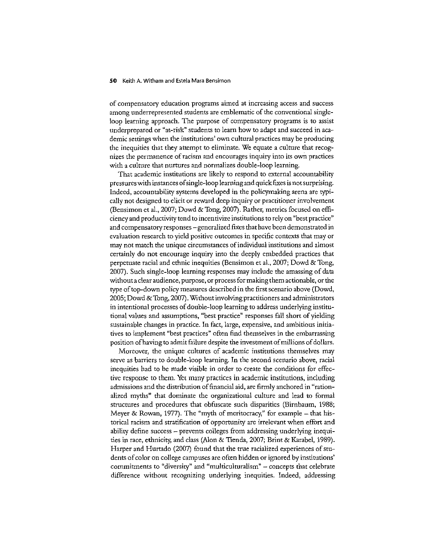**of compensatory education programs aimed at increasing access and success among underrepresented students are emblematic of the conventional single**loop learning approach. The purpose of compensatory programs is to assist **underprepared or "at-risk" students to learn how to adapt and succeed in academic settings when the institutions' own cultural practices may be producing**  the inequities that they attempt to eliminate. We equate a culture that recognizes the permanence of racism and encourages inquiry into its own practices with a culture that nurtures and normalizes double-loop learning.

That academic institutions are likely to respond to external accountability **pressures with instances of single-loop learning and quick fixes is not surprising.**  Indeed, accountability systems developed in the policymaking arena are typi**cally not designed to elicit or reward deep inquiry or practitioner involvement**  (Bensimon et al., 2007; Dowd & Tong, 2007). Rather, metrics focused on effi**ciency and productivity tend to incentivize institutions to rely on "best practice" and compensatory responses -generalized fixes that have been demonstrated in evaluation research to yield positive outcomes in specific contexts that may or may not match the unique circumstances of individual institutions and almost**  certainly do not encourage inquiry into the deeply embedded practices that perpetuate racial and ethnic inequities (Bensimon et al., 2007; Dowd & Tong, 2007). Such single-loop learning responses may include the amassing of data **without a clear audience, purpose, or process for making them actionable, or the**  type of top-down policy measures described in the first scenario above (Dowd, 2005; Dowd &Tong, 2007). Without involving practitioners and administrators in intentional processes of double-loop learning to address underlying institu**tional values and assumptions, "best practice" responses fall short of yielding sustainable changes in practice. In fact, large, expensive, and ambitious initiatives to implement "best practices" often find themselves in the embarrassing**  position ofhavingto admit failure despite the investment of millions of dollars.

**Moreover, the unique cultures of academic institutions themselves may serve as barriers to double-loop learning. In the second scenario above, racial inequities had to be made visible in order to create the conditions for effec**tive response to them. Yet many practices in academic institutions, including **admissions and the distribution of financial aid, are firmly anchored in "ration**alized myths" that dominate the organizational culture and lead to formal structures and procedures that obfuscate such disparities (Birnbaum, 1988; Meyer & Rowan, 1977). The "myth of meritocracy," for example  $-$  that his**torical racism and stratification of opportunity are irrelevant when effort and**  ability define success- prevents colleges from addressing underlying inequities in race, ethnicity, and class (Alon & Tienda, 2007; Brint & Karabel, 1989). Harper and Hurtado (2007) found that the true racialized experiences of students of color on college campuses are often hidden or ignored by institutions' **commitments to "diversity" and "multiculturalism"- concepts that celebrate**  difference without recognizing underlying inequities. Indeed, addressing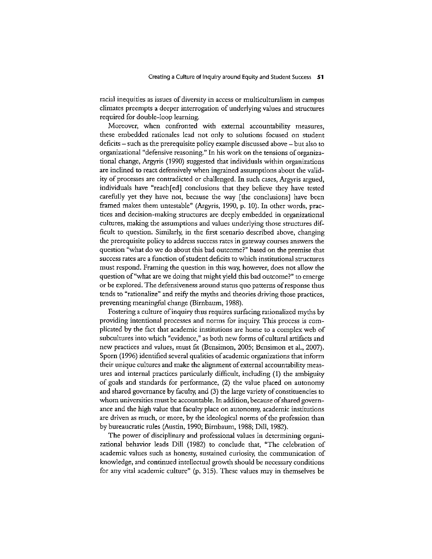**racial inequities as issues of diversity in access or multiculturalism in campus climates preempts a deeper interrogation of underlying values and structures**  required for double-loop learning.

**Moreover, when confronted with external accountability measures,**  these embedded rationales lead not only to solutions focused on student deficits- such as the prerequisite policy example discussed above- but also to **organizational "defensive reasoning." In his work on the tensions of organiza**tional change, Argyris (1990) suggested that individuals within organizations **are inclined to react defensively when ingrained assumptions about the valid**ity of processes are contradicted or challenged. In such cases, Argyris argued, individuals have "reach[ed] conclusions that they believe they have tested carefully yet they have not, because the way [the conclusions] have been framed makes them untestable" (Argyris, 1990, p. 10). In other words, prac**tices and decision-making structures are deeply embedded in organizational cultures, making the assumptions and values underlying those structures dif**ficult to question. Similarly, in the first scenario described above, changing **the prerequisite policy to address success rates in gateway courses answers the question "what do we do about this bad outcome?" based on the premise that success rates are a function of student deficits to which institutional structures must respond. Framing the question in this way, however, does not allow the question of"what are we doing that might yield this bad outcome?" to emerge or be explored. The defensiveness around status quo patterns of response thus tends to "rationalize" and reify the myths and theories driving those practices,**  preventing meaningful change (Birnbaum, 1988).

**Fostering a culture of inquiry thus requires surfacing rationalized myths by providing intentional processes and norms for inquiry. This process is com**plicated by the fact that academic institutions are home to a complex web of **subcultures into which "evidence," as both new forms of cultural artifacts and**  new practices and values, must fit (Bensimon, 2005; Bensimon et al., 2007). Sporn (1996) identified several qualities of academic organizations that inform **their unique cultures and make the alignment of external accountability meas**ures and internal practices particularly difficult, including (1) the ambiguity of goals and standards for performance, (2) the value placed on autonomy and shared governance by faculty, and (3) the large variety of constituencies to **whom universities must be accountable. In addition, because of shared governance and the high value that faculty place on autonomy, academic institutions are driven as much, or more, by the ideological norms of the profession than**  by bureaucratic rules (Austin, 1990; Birnbaum, 1988; Dill, 1982).

**The power of disciplinary and professional values in determining organi**zational behavior leads Dill (1982) to conclude that, "The celebration of **academic values such as honesty, sustained curiosity, the communication of**  knowledge, and continued intellectual growth should be necessary conditions for any vital academic culture" (p. 315). These values may in themselves be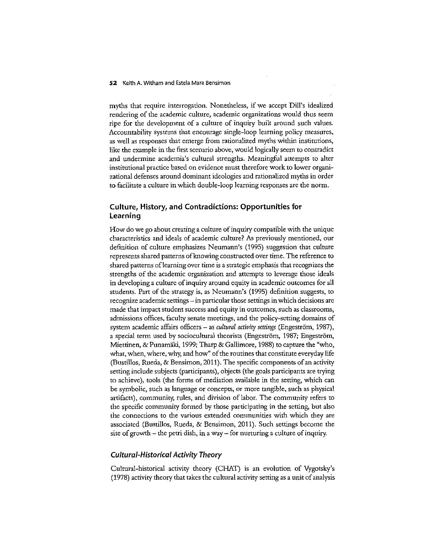myths that require interrogation. Nonetheless, if we accept Dill's idealized rendering of the academic culture, academic organizations would thus seem ripe for the development of a culture of inquiry built around such values. Accountability systems that encourage single-loop learning policy measures, as well as responses that emerge from rationalized myths within institutions, like the example in the first scenario above, would logically seem to contradict and undermine academia's cultural strengths. Meaningful attempts to alter institutional practice based on evidence must therefore work to lower organizational defenses around dominant ideologies and rationalized myths in order to facilitate a culture in which double-loop learning responses are the norm.

#### Culture, History, and Contradictions: Opportunities for learning

How do we go about creating a culture of inquiry compatible with the unique characteristics and ideals of academic culture? As previously mentioned, our definition of culture emphasizes Neumann's (1995) suggestion that culture represents shared patterns of knowing constructed over time. The reference to shared patterns oflearning over time is a strategic emphasis that recognizes the strengths of the academic organization and attempts to leverage those ideals in developing a culture of inquiry around equity in academic outcomes for all students. Part of the strategy is, as Neumann's (1995) definition suggests, to recognize academic settings- in particular those settings in which decisions are made that impact student success and equity in outcomes, such as classrooms, admissions offices, faculty senate meetings, and the policy-setting domains of system academic affairs officers - as *cultural activity settings* (Engeström, 1987), a special term used by sociocultural theorists (Engeström, 1987; Engeström, Miettinen, & Punamaki, 1999; Tharp & Gallimore, 1988) to capture the "who, what, when, where, why, and how" of the routines that constitute everyday life (Bustillos, Rueda, & Bensimon, 2011). The specific components of an activity setting include subjects (participants), objects (the goals participants are trying to achieve), tools (the forms of mediation available in the setting, which can be symbolic, such as language or concepts, or more tangible, such as physical artifacts), community, rules, and division of labor. The community refers to the specific community formed by those participating in the setting, but also the connections to the various extended communities with which they are associated (Bustillos, Rueda, & Bensimon, 2011). Such settings become the site of growth  $-$  the petri dish, in a way  $-$  for nurturing a culture of inquiry.

#### Cultural-Historical Activity Theory

Cultural-historical activity theory (CHAT) is an evolution of Vygotsky's (1978) activity theory that takes the cultural activity setting as a unit of analysis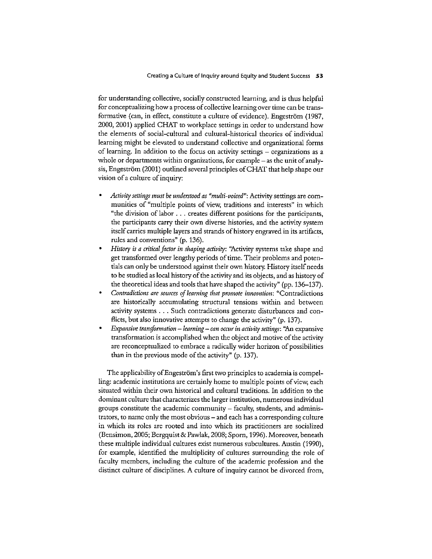for understanding collective, socially constructed learning, and is thus helpful **for conceptualizing how a process of collective learning over time can be trans**formative (can, in effect, constitute a culture of evidence). Engeström (1987, 2000, 2001) applied CHAT to workplace settings in order to understand how the elements of social-cultural and cultural-historical theories of individual learning might be elevated to understand collective and organizational forms **of learning. In addition to the focus on activity settings - organizations as a whole or departments within organizations, for example- as the unit of analy**sis, Engeström (2001) outlined several principles of CHAT that help shape our **vision of a culture of inquiry:** 

- *Activity settings must be understood as ''multi-voiced":* **Activity settings are communities of "multiple points of view, traditions and interests" in which "the division of labor** ... **creates different positions for the participants, the participants carry their own diverse histories, and the activity system**  itself carries multiple layers and strands of history engraved in its artifacts, rules and conventions" (p. 136).
- *History is a critical factor in shaping activity:* ''Activity systems take shape and get transformed over lengthy periods of time. Their problems and potentials can only be understood against their own history. History itself needs to be studied as local history of the activity and its objects, and as history of the theoretical ideas and tools that have shaped the activity" (pp. 136-137).
- *Contradictions are sources* **of** *learning that promote innovation:* **"Contradictions are historically accumulating structural tensions within and between activity systems** ... **Such contradictions generate disturbances and con**flicts, but also innovative attempts to change the activity" (p. 137).
- *Expansive transformation* **-** *learning- can occur in activity settings:* **''An expansive**  transformation is accomplished when the object and motive of the activity are reconceptualized to embrace a radically wider horizon of possibilities than in the previous mode of the activity" (p. 137).

The applicability of Engeström's first two principles to academia is compel**ling: academic institutions are certainly home to multiple points of view, each**  situated within their own historical and cultural traditions. In addition to the **dominant culture that characterizes the larger institution, numerous individual groups constitute the academic community - faculty, students, and administrators, to name only the most obvious- and each has a corresponding culture in which its roles are rooted and into which its practitioners are socialized**  (Bensimon, 2005; Bergquist & Pawlak, 2008; Sporn, 1996). Moreover, beneath these multiple individual cultures exist numerous subcultures. Austin (1990), for example, identified the multiplicity of cultures surrounding the role of faculty members, including the culture of the academic profession and the **distinct culture of disciplines. A culture of inquiry cannot be divorced from,**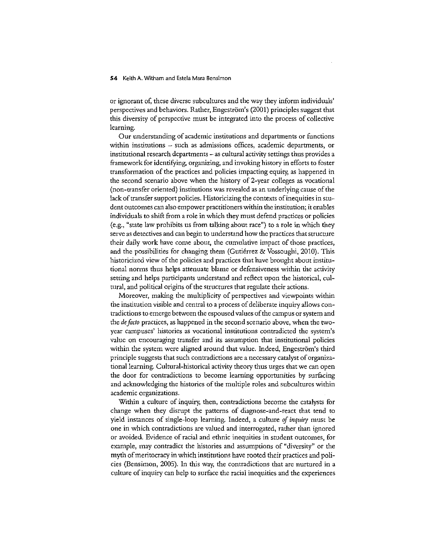or ignorant of, these diverse subcultures and the way they inform individuals' perspectives and behaviors. Rather, Engeström's (2001) principles suggest that this diversity of perspective must be integrated into the process of collective learning.

Our understanding of academic institutions and departments or functions within institutions – such as admissions offices, academic departments, or institutional research departments- as cultural activity settings thus provides a framework for identifying, organizing, and invoking history in efforts to foster transformation of the practices and policies impacting equity, as happened in the second scenario above when the history of 2-year colleges as vocational (non-transfer oriented) institutions was revealed as an underlying cause of the lack of transfer support policies. Historicizing the contexts of inequities in student outcomes can also empower practitioners within the institution; it enables individuals to shift from a role in which they must defend practices or policies (e.g., "state law prohibits us from talking about race") to a role in which they serve as detectives and can begin to understand how the practices that structure their daily work have come about, the cumulative impact of those practices, and the possibilities for changing them (Gutiérrez & Vossoughi, 2010). This historicized view of the policies and practices that have brought about institutional norms thus helps attenuate blame or defensiveness within the activity setting and helps participants understand and reflect upon the historical, cultural, and political origins of the structures that regulate their actions.

Moreover, making the multiplicity of perspectives and viewpoints within the institution visible and central to a process of deliberate inquiry allows contradictions to emerge between the espoused values of the campus or system and the *de facto* practices, as happened in the second scenario above, when the twoyear campuses' histories as vocational institutions contradicted the system's value on encouraging transfer and its assumption that institutional policies within the system were aligned around that value. Indeed, Engeström's third principle suggests that such contradictions are a necessary catalyst of organizational learning. Cultural-historical activity theory thus urges that we can open the door for contradictions to become learning opportunities by surfacing and acknowledging the histories of the multiple roles and subcultures within academic organizations.

Within a culture of inquiry, then, contradictions become the catalysts for change when they disrupt the patterns of diagnose-and-react that tend to yield instances of single-loop learning. Indeed, a culture of *inquiry* must be one in which contradictions are valued and interrogated, rather than ignored or avoided. Evidence of racial and ethnic inequities in student outcomes, for example, may contradict the histories and assumptions of "diversity" or the myth of meritocracy in which institutions have rooted their practices and policies (Bensimon, 2005). In this way, the contradictions that are nurtured in a culture of inquiry can help to surface the racial inequities and the experiences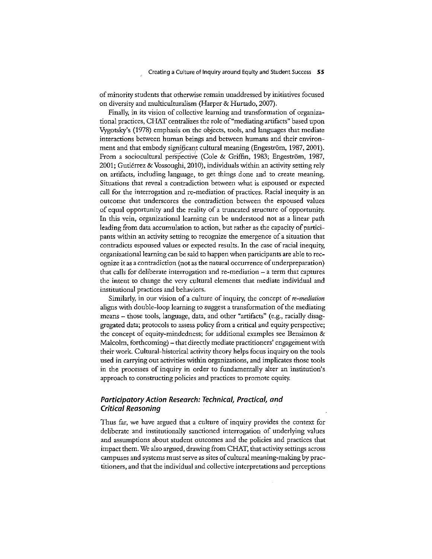**of minority students that othetwise remain unaddressed by initiatives focused**  on diversity and multiculturalism (Harper & Hurtado, 2007).

**Finally, in its vision of collective learning and transformation of organizational practices, CHAT centralizes the role of"mediating artifacts" based upon**  Vygotsky's (1978) emphasis on the objects, tools, and languages that mediate **interactions between human beings and between humans and their environ**ment and that embody significant cultural meaning (Engeström, 1987, 2001). From a sociocultural perspective (Cole & Griffin, 1983; Engeström, 1987, 2001; Gutierrez & Vossoughi, 2010), individuals within an activity setting rely **on artifacts, including language, to get things done and to create meaning. Situations that reveal a contradiction between what is espoused or expected call for the interrogation and re-mediation of practices. Racial inequity is an outcome that underscores the contradiction between the espoused values**  of equal opportunity and the reality of a truncated structure of opportunity. **In this vein, organizational learning can be understood not as a linear path**  leading from data accumulation to action, but rather as the capacity of partici**pants within an activity setting to recognize the emergence of a situation that contradicts espoused values or expected results. In the case of racial inequity, organizational learning can be said to happen when participants are able to recognize it as a contradiction (not as the natural occurrence of underpreparation) that calls for deliberate interrogation and re-mediation - a term that captures**  the intent to change the very cultural elements that mediate individual and **institutional practices and behaviors.** 

**Similarly, in our vision of a culture of inquiry, the concept of** *re-mediation*  aligns with double-loop learning to suggest a transformation of the mediating means - those tools, language, data, and other "artifacts" (e.g., racially disaggregated data; protocols to assess policy from a critical and equity perspective; the concept of equity-mindedness; for additional examples see Bensimon & Malcolm, forthcoming)- that directly mediate practitioners' engagement with their work. Cultural-historical activity theory helps focus inquiry on the tools **used in carrying out activities within organizations, and implicates those tools in the processes of inquiry in order to fundamentally alter an institution's approach to constructing policies and practices to promote equity.** 

#### *Participatory Action Research: Technical, Practical, and Critical Reasoning*

Thus far, we have argued that a culture of inquiry provides the context for deliberate and institutionally sanctioned interrogation of underlying values **and assumptions about student outcomes and the policies and practices that**  impact them. We also argued, drawing from CHAT, that activity settings across **campuses and systems must serve as sites of cultural meaning-making by practitioners, and that the individual and collective interpretations and perceptions**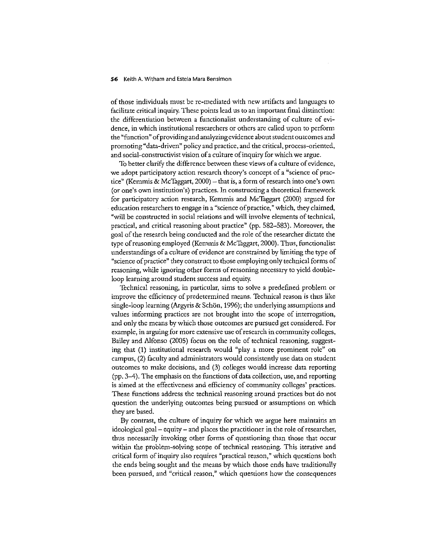of those individuals must be re-mediated with new artifacts and languages to **facilitate critical inquiry. These points lead us to an important final distinction: the differentiation between a functionalist understanding of culture of evidence, in which institutional researchers or others are called upon to perform the "function" of providing and analyzing evidence about student outcomes and promoting "data-driven" policy and practice, and the critical, process-oriented, and social-constructivist vision of a culture of inquiry for which we argue.** 

To better clarifY the difference between these views of a culture of evidence, **we adopt participatory action research theory's concept of a ''science of prac**tice" (Kemmis & McTaggart, 2000) – that is, a form of research into one's own **(or one's own institution's) practices. In constructing a theoretical framework**  for participatory action research, Kemmis and McTaggart (2000) argued for **education researchers to engage in a "science of practice," which, they claimed, "will be constructed in social relations and will involve elements of technical,**  practical, and critical reasoning about practice" (pp. 582-583). Moreover, the goal of the research being conducted and the role of the researcher dictate the type of reasoning employed (Kemmis & McTaggart, 2000). Thus, functionalist understandings of a culture of evidence are constrained by limiting the type of **"science of practice" they construct to those employing only technical forms of reasoning, while ignoring other forms of reasoning necessary to yield doubleloop learning around student success and equity.** 

**Technical reasoning, in particular, aims to solve a predefined problem or improve the efficiency of predetermined means. Technical reason is thus like**  single-loop learning (Argyris & Schön, 1996); the underlying assumptions and **values informing practices are not brought into the scope of interrogation,**  and only the means by which those outcomes are pursued get considered. For **example, in arguing for more extensive use of research in community colleges,**  Bailey and Alfonso (2005) focus on the role of technical reasoning, suggest**ing that (1) institutional research would "play a more prominent role" on**  campus, (2) faculty and administrators would consistently use data on student outcomes to make decisions, and (3) colleges would increase data reporting (pp. 3--4). The emphasis on the functions of data collection, use, and reporting **is aimed at the effectiveness and efficiency of community colleges' practices. These functions address the technical reasoning around practices but do not question the underlying outcomes being pursued or assumptions on which**  they are based.

**By contrast, the culture of inquiry for which we argue here maintains an**  ideological goal- equity- and places the practitioner in the role of researcher, **thus necessarily invoking other forms of questioning than those that occur**  within the problem-solving scope of technical reasoning. This iterative and **critical form of inquiry also requires "practical reason," which questions both**  the ends being sought and the means by which those ends have traditionally **been pursued, and "critical reason," which questions how the consequences**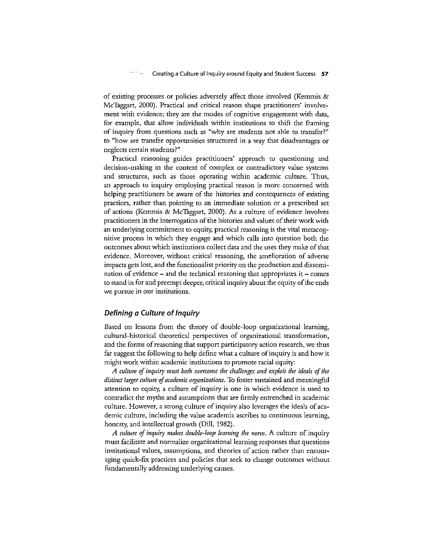Creating a Culture of Inquiry around Equity and Student Success 57

of existing processes. or policies adversely affect those involved (Kemmis & McTaggart, 2000). Practical and critical reason shape practitioners' involvement with evidence; they are the modes of cognitive engagement with data, for example, that allow individuals within institutions to shift the framing of inquiry from questions such as "why are students not able to transfer?" to "how are transfer opportunities structured in a way that disadvantages or neglects certain students?"

Practical reasoning guides practitioners' approach to questioning and decision~making in the context of complex or contradictory value systems and structures, such as those operating within academic culture. Thus, an approach to inquiry employing practical reason is more concerned with helping practitioners be aware of the histories and consequences of existing practices, rather than pointing to an immediate solution or a prescribed set of actions (Kemmis & McTaggart, 2000). As a culture of evidence involves practitioners in the interrogation of the histories and values of their work with an underlying commitment to equity, practical reasoning is the vital metacognitive process in which they engage and which calls into question both the outcomes about which institutions collect data and the uses they make of that evidence. Moreover, without critical reasoning, the amelioration of adverse impacts gets lost, and the functionalist priority on the production and dissemination of evidence  $-$  and the technical reasoning that appropriates it  $-$  comes to stand in for and preempt deeper, critical inquiry about the equity of the ends we pursue in our institutions.

#### Defining a Culture of Inquiry

Based on lessons from the theory of double-loop organizational learning, cultural-historical theoretical perspectives of organizational transformation, and the forms of reasoning that support participatory action research, we thus far suggest the following to help define what a culture of inquiry is and how it might work within academic institutions to promote racial equity:

A culture of *inquiry must both overcome the challenges and exploit the ideals of the distinct larger culture* of *academic organizations.* To foster sustained and meaningful attention to equity, a culture of inquiry is one in which evidence is used to contradict the myths and assumptions that are firmly entrenched in academic culture. However, a strong culture of inquiry also leverages the ideals of academic culture, including the value academia ascribes to continuous learning, honesty, and intellectual growth (Dill, 1982).

A culture of *inquiry makes double-loop learning the norm*. A culture of *inquiry* must facilitate and normalize organizational learning responses that questions institutional values, assumptions, and theories of action rather than encouraging quick-fix practices and policies that seek to change outcomes without fundamentally addressing underlying causes.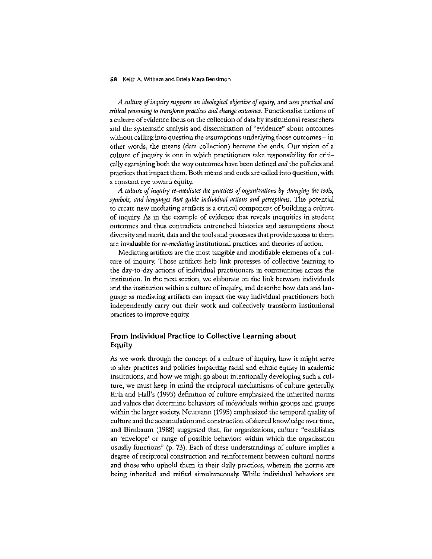*A culture* qf *inquiry supports an ideological objective of equity, and uses practical and critical reasoning to traniform practices and change outcomes.* Functionalist notions of a culture of evidence focus on the collection of data by institutional researchers and the systematic analysis and dissemination of "evidence" about outcomes without calling into question the assumptions underlying those outcomes – in other words, the means (data collection) become the ends. Our vision of a culture of inquiry is one in which practitioners take responsibility for critically examining both the way outcomes have been defined *and* the policies and practices that impact them. Both means and ends are called into question, with a constant eye toward equity.

*A culture* qf *inquiry re-mediates the practices* qf *organizations by changing the tools, symbols, and languages that guide individual actions and perceptions.* The potential to create new mediating artifacts is a critical component of building a culture of inquiry. As in the example of evidence that reveals inequities in student outcomes and thus contradicts entrenched histories and assumptions about diversity and merit, data and the tools and processes that provide access to them are invaluable for *re-mediating* institutional practices and theories of action.

Mediating artifacts are the most tangible and modifiable elements of a culture of inquiry. Those artifacts help link processes of collective learning to the day-to-day actions of individual practitioners in communities across the institution. In the next section, we elaborate on the link between individuals and the institution within a culture of inquiry, and describe how data and language as mediating artifacts can impact the way individual practitioners both independently carry out their work and collectively transform institutional practices to improve equity.

#### From Individual Practice to Collective Learning about Equity

As we work through the concept of a culture of inquiry, how it might serve to alter practices and policies impacting racial and ethnic equity in academic institutions, and how we might go about intentionally developing such a culture, we must keep in mind the reciprocal mechanisms of culture generally. Kuh and Hall's (1993) definition of culture emphasized the inherited norms and values that determine behaviors of individuals within groups and groups within the larger society. Neumann (1995) emphasized the temporal quality of culture and the accumulation and construction of shared knowledge over time, and Birnbaum (1988) suggested that, for organizations, culture "establishes an 'envelope' or range of possible behaviors within which the organization usually functions" (p. 73). Each of these understandings of culture implies a degree of reciprocal construction and reinforcement between cultural norms and those who uphold them in their daily practices, wherein the norms are being inherited and reified simultaneously. While individual behaviors are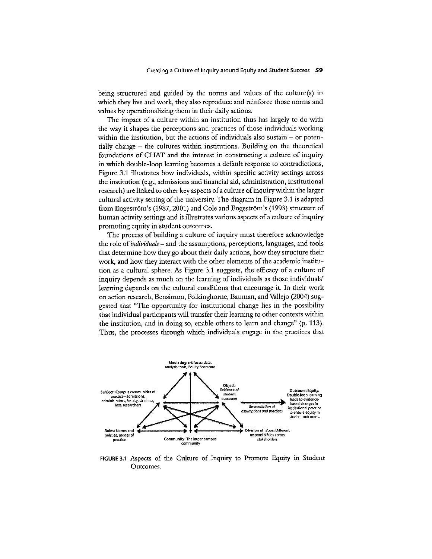being structured and guided by the norms and values of the culture(s) in **which they live and work, they also reproduce and reinforce those norms and**  values by operationalizing them in their daily actions.

The impact of a culture within an institution thus has largely to do with the way it shapes the perceptions and practices of those individuals working **within the institution, but the actions of individuals also sustain- or poten**tially change - the cultures within institutions. Building on the theoretical foundations of CHAT and the interest in constructing a culture of inquiry **in which double-loop learning becomes a default response to contradictions, Figure 3.1 illustrates how individuals, within specific activity settings across the institution (e.g., admissions and financial aid, administration, institutional**  research) are linked to other key aspects of a culture of inquiry within the larger cultural activity setting of the university. The diagram in Figure 3.1 is adapted from Engeström's (1987, 2001) and Cole and Engeström's (1993) structure of **human activity settings and it illustrates various aspects of a culture of inquiry promoting equity in student outcomes.** 

The process of building a culture of inquiry must therefore acknowledge the role of *individuals-* and the assumptions, perceptions, languages, and tools that determine how they go about their daily actions, how they structure their work, and how they interact with the other elements of the academic institution as a cultural sphere. As Figure 3.1 suggests, the efficacy of a culture of inquiry depends as much on the learning of individuals as those individuals' **learning depends on the cultural conditions that encourage it. In their work**  on action research, Bensimon, Polkinghorne, Bauman, and Vallejo (2004) suggested that "The opportunity for institutional change lies in the possibility **that individual participants will transfer their learning to other contexts within**  the institution, and in doing so, enable others to learn and change" (p. 113). Thus, the processes through which individuals engage in the practices that



FIGURE 3.1 Aspects of the Culture of Inquiry to Promote Equity in Student **Outcomes.**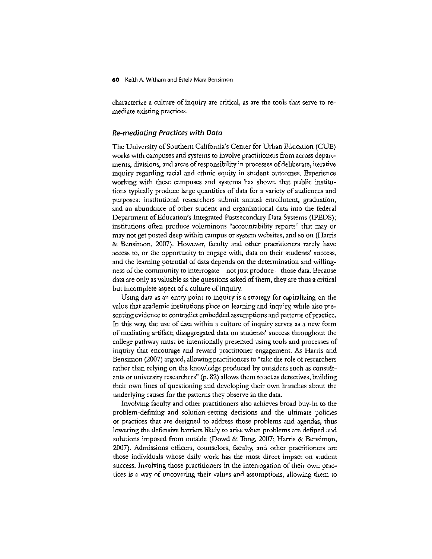characterize a culture of inquiry are critical, as are the tools that serve to remediate existing practices.

#### *Re-mediating Practices with Data*

The University of Southern California's Center for Urban Education (CUE) works with campuses and systems to involve practitioners from across departments, divisions, and areas of responsibility in processes of deliberate, iterative inquiry regarding racial and ethnic equity in student outcomes. Experience working with these campuses and systems has shown that public institutions typically produce large quantities of data for a variety of audiences and purposes: institutional researchers submit annual enrollment, graduation, and an abundance of other student and organizational data into the federal Department of Education's Integrated Postsecondary Data Systems (IPEDS); institutions often produce voluminous "accountability reports" that may or may not get posted deep within campus or system websites, and so on (Harris & Bensimon, 2007). However, faculty and other practitioners rarely have access to, or the opportunity to engage with, data on their students' success, and the learning potential of data depends on the determination and willingness of the community to interrogate – not just produce – those data. Because data are only as valuable as the questions asked of them, they are thus a-critical but incomplete aspect of a culture of inquiry.

Using data as an entry point to inquiry is a strategy for capitalizing on the value that academic institutions place on learning and inquiry, while also presenting evidence to contradict embedded assumptions and patterns of practice. In this way, the use of data within a culture of inquiry serves as a new form of mediating artifact; disaggregated data on students' success throughout the college pathway must be intentionally presented using tools and processes of inquiry that encourage and reward practitioner engagement. As Harris and Bensimon (2007) argued, allowing practitioners to "take the role of researchers rather than relying on the knowledge produced by outsiders such as consultants or university researchers" (p. 82) allows them to act as detectives, building their own lines of questioning and developing their own hunches about the underlying causes for the patterns they observe in the data.

Involving faculty and other practitioners also achieves broad buy-in to the problem-defining and solution-setting decisions and the ultimate policies or practices that are designed to address those problems and agendas, thus lowering the defensive barriers likely to arise when problems are defined and solutions imposed from outside (Dowd & Tong, 2007; Harris & Bensimon, 2007). Admissions officers, counselors, faculty, and other practitioners are those individuals whose daily work has the most direct impact on student success. Involving those practitioners in the interrogation of their own practices is a way of uncovering their values and assumptions, allowing them to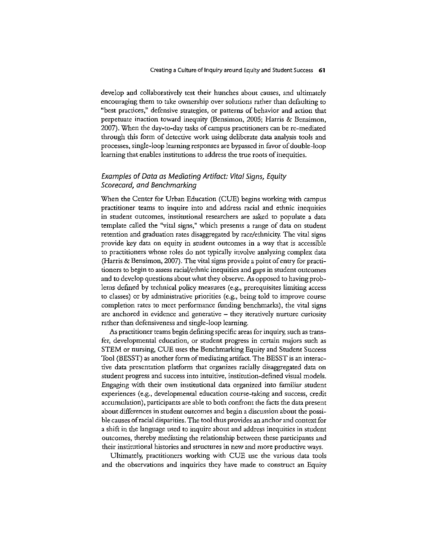develop and collaboratively test their hunches about causes, and ultimately **encouraging them to take ownership over solutions rather than defaulting to "best practices," defensive strategies, or patterns of behavior and action that perpetuate inaction toward inequity (Bensimon, 2005; Harris & Bensimon,**  2007). When the day-to-day tasks of campus practitioners can be re-mediated through this form of detective work using deliberate data analysis tools and processes, single-loop learning responses are bypassed in favor of double-loop learning that enables institutions to address the true roots of inequities.

#### Examples of Data as Mediating Artifact: Vital Signs, Equity Scorecard, and Benchmarking

When the Center for Urban Education (CUE) begins working with campus **practitioner teams to inquire into and address racial and ethnic inequities in student outcomes, institutional researchers are asked to populate a data template called the "vital signs," which presents a range of data on student**  retention and graduation rates disaggregated by race/ethnicity The vital signs **provide key data on equity in student outcomes in a way that is accessible**  to practitioners whose roles do not typically involve analyzing complex data (Harris & Bensimon, 2007). The vital signs provide a point of entry for practi**tioners to begin to assess raciaVethnic inequities and gaps in student outcomes**  and to develop questions about what they observe. *As* opposed to having problems defined by technical policy measures (e.g., prerequisites limiting access **to classes) or by administrative priorities (e.g., being told to improve course**  completion rates to meet performance funding benchmarks), the vital signs **are anchored in evidence and generative - they iteratively nurture curiosity**  rather than defensiveness and single-loop learning.

**As practitioner teams begin defining specific areas for inquiry, such as transfer, developmental education, or student progress in certain majors such as**  STEM or nursing, CUE uses the Benchmarking Equity and Student Success Tool (BESST) as another form of mediating artifact. The BESST is an interactive data presentation platform that organizes racially disaggregated data on **student progress and success into intuitive, institution-defined visual models.**  Engaging with their own institutional data organized into familiar student **experiences (e.g., developmental education course-taking and success, credit**  accumulation), participants are able to both confront the facts the data present **about differences in student outcomes and begin a discussion about the possible causes of racial disparities. The tool thus provides an anchor and context for a shift in the language used to inquire about and address inequities in student**  outcomes, thereby mediating the relationship between these participants and **their institutional histories and structures in new and more productive ways.** 

Ultimately, practitioners working with CUE use the various data tools **and the observations and inquiries they have made to construct an Equity**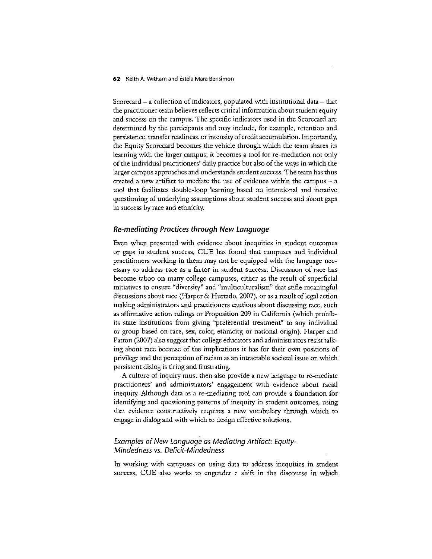Scorecard – a collection of indicators, populated with institutional data – that **the practitioner team believes reflects critical information about student equity and success on the campus. The specific indicators used in the Scorecard are determined by the participants and may include, for example, retention and persistence, transfer readiness, or intensity of credit accumulation. Importantly,**  the Equity Scorecard becomes the vehicle through which the team shares its **learning with the larger campus; it becomes a tool for re-mediation not only**  of the individual practitioners' daily practice but also of the ways in which the **larger campus approaches and understands student success. The team has thus created a new artifact to mediate the use of evidence within the campus - a**  tool that facilitates double-loop learning based on intentional and iterative questioning of underlying assumptions about student success and about gaps **in success by race and ethnicity.** 

#### Re-mediating Practices through New Language

**Even when presented with evidence about inequities in student outcomes**  or gaps in student success, CUE has found that campuses and individual practitioners working in them may not be equipped with the language nec**essary to address race as a factor in student success. Discussion of race has become taboo on many college campuses, either as the result of superficial initiatives to ensure "diversity" and "multiculturalism" that stifle meaningful**  discussions about race (Harper & Hurtado, 2007), or as a result of legal action **making administrators and practitioners cautious about discussing race, such**  as affirmative action rulings or Proposition 209 in California (which prohib**its state institutions from giving "preferential treatment" to any individual or group based on race, sex, color, ethnicity, or national origin). Harper and**  Patton (2007) also suggest that college educators and administrators resist talk**ing about race because of the implications it has for their own positions of privilege and the perception of racism as an intractable societal issue on which**  persistent dialog is tiring and frustrating.

A culture of inquiry must then also provide a new language to re-mediate **practitioners' and administrators' engagement with evidence about racial**  inequity. Although data as a re-mediating tool can provide a foundation for **identifying and questioning patterns of inequity in student outcomes, using that evidence constructively requires a new vocabulary through which to**  engage in dialog and with which to design effective solutions.

#### Examples of New Language as Mediating Artifact: Equity-Mindedness vs. Deficit-Mindedness

**In working with campuses on using data to address inequities in student success, CUE also works to engender a shift in the discourse in which**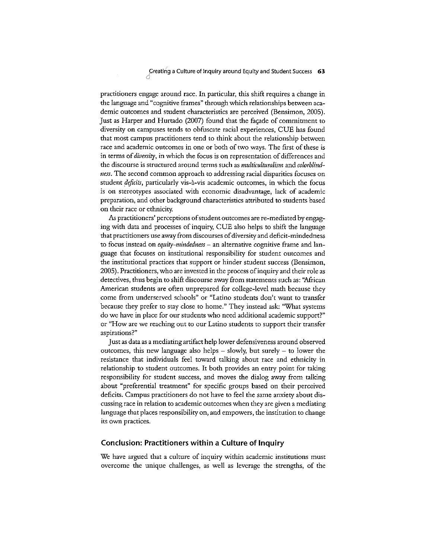Greating a Culture of Inquiry around Equity and Student Success **63**<br>*Q* 

practitioners engage around race. In particular, this shift requires a change in the language and "cognitive frames" through which relationships between academic outcomes and student characteristics are perceived (Bensimon, 2005). Just as Harper and Hurtado (2007) found that the façade of commitment to diversity on campuses tends to obfuscate racial experiences, CUE has found that most campus practitioners tend to think about the relationship between race and academic outcomes in one or both of two ways. The first of these is in terms of *diversity,* in which the focus is on representation of differences and the discourse is structured around terms such as *multiculturalism* and *colorblindness.* The second common approach to addressing racial disparities focuses on student *deficits*, particularly vis-à-vis academic outcomes, in which the focus is on stereotypes associated with economic disadvantage, lack of academic preparation, and other background characteristics attributed to students based on their race or ethnicity.

As practitioners' perceptions of student outcomes are re-mediated by engaging with data and processes of inquiry, CUE also helps to shift the language that practitioners use away from discourses of diversity and deficit-mindedness to focus instead on *equity-mindedness-* an alternative cognitive frame and language that focuses on institutional responsibility for student outcomes and the institutional practices that support or hinder student success (Bensimon, 2005). Practitioners, who are invested in the process ofinquiry and their role as detectives, thus begin to shift discourse away from statements such as: "African American students are often unprepared for college-level math because they come from underserved schools" or "Latino students don't want to transfer because they prefer to stay close to home." They instead ask: "What systems do we have in place for our students who need additional academic support?" or "How are we reaching out to our Latino students to support their transfer aspirations?"

Just as data as a mediating artifact help lower defensiveness around observed outcomes, this new language also helps  $-$  slowly, but surely  $-$  to lower the resistance that individuals feel toward talking about race and ethnicity in relationship to student outcomes. It both provides an entry point for taking responsibility for student success, and moves the dialog away from talking about "preferential treatment" for specific groups based on their perceived deficits. Campus practitioners do not have to feel the same anxiety about discussing race in relation to academic outcomes when they are given a mediating language that places responsibility on, and empowers, the institution to change its own practices.

#### Conclusion: Practitioners within a Culture of Inquiry

We have argued that a culture of inquiry within academic institutions must overcome the unique challenges, as well as leverage the strengths, of the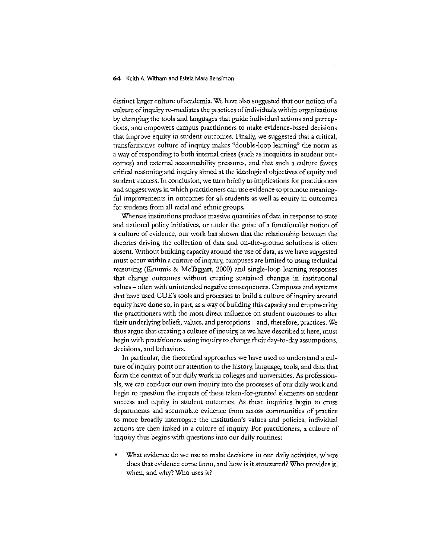distinct larger culture of academia. We have also suggested that our notion of a culture ofinquiry re-mediates the practices of individuals within organizations by changing the tools and languages that guide individual actions and perceptions, and empowers campus practitioners to make evidence-based decisions that improve equity in student outcomes. Finally, we suggested that a critical, transformative culture of inquiry makes "double-loop learning" the norm as a way of responding to both internal crises (such as inequities in student outcomes) and external accountability pressures, and that such a culture favors critical reasoning and inquiry aimed at the ideological objectives of equity and student success. In conclusion, we turn briefly to implications for practitioners and suggest ways in which practitioners can use evidence to promote meaningful improvements in outcomes for all students as well as equity in outcomes for students from all racial and ethnic groups.

Whereas institutions produce massive quantities of data in response to state and national policy initiatives, or under the guise of a functionalist notion of a culture of evidence, our work has shown that the relationship between the theories driving the collection of data and on-the-ground solutions is often absent. Without building capacity around the use of data, as we have suggested must occur within a culture of inquiry, campuses are limited to using technical reasoning (Kemmis & McTaggart, 2000) and single-loop learning responses that change outcomes without creating sustained changes in institutional values- often with unintended negative consequences. Campuses and systems that have used CUE's tools and processes to build a culture of inquiry around equity have done so, in part, as a way of building this capacity and empowering the practitioners with the most direct influence on student outcomes to alter their underlying beliefs, values, and perceptions- and, therefore, practices. We thus argue that creating a culture of inquiry, as we have described it here, must begin with practitioners using inquiry to change their day-to-day assumptions, decisions, and behaviors.

In particular, the theoretical approaches we have used to understand a culture of inquiry point our attention to the history, language, tools, and data that form the context of our daily work in colleges and universities. As professionals, we can conduct our own inquiry into the processes of our daily work and begin to question the impacts of these taken-for-granted elements on student success and equity in student outcomes. As these inquiries begin to cross departments and accumulate evidence from across communities of practice to more broadly interrogate the institution's values and policies, individual actions are then linked in a culture of inquiry. For practitioners, a culture of inquiry thus begins with questions into our daily routines:

What evidence do we use to make decisions in our daily activities, where does that evidence come from, and how is it structured? "Who provides it, when, and why? Who uses it?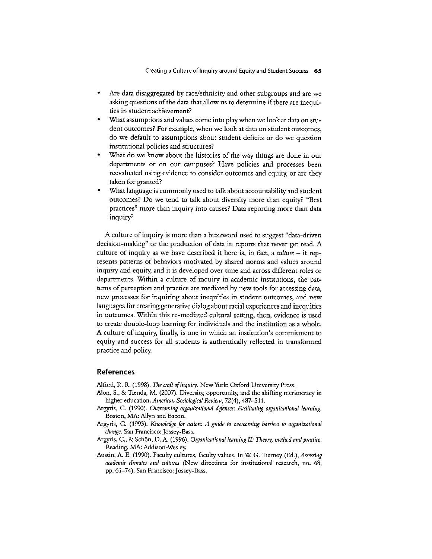- Are data disaggregated by race/ethnicity and other subgroups and are we asking questions of the data that allow us to determine if there are inequities in student achievement?
- What assumptions and values come into play when we look at data on student outcomes? For example, when we look at data on student outcomes, do we default to assumptions about student deficits or do we question institutional policies and structures?
- What do we know about the histories of the way things are done in our departments or on our campuses? Have policies and processes been reevaluated using evidence to consider outcomes and equity, or are they taken for granted?
- What language is commonly used to talk about accountability and student outcomes? Do we tend to talk about diversity more than equity? "Best practices" more than inquiry into causes? Data reporting more than data inquiry?

A culture of inquiry is more than a buzzword used to suggest "data-driven decision-making" or the production of data in reports that never get read. A culture of inquiry as we have described it here is, in fact, a *culture* - it represents patterns of behaviors motivated by shared norms and values around inquiry and equity, and it is developed over time and across different roles or departments. Within a culture of inquiry in academic institutions, the patterns of perception and practice are mediated by new tools for accessing data, new processes for inquiring about inequities in student outcomes, and new languages for creating generative dialog about racial experiences and inequities in outcomes. Within this re-mediated cultural setting, then, evidence is used to create double-loop learning for individuals and the institution as a whole. A culture of inquiry, finally, is one in which an institution's commitment to equity and success for all students is authentically reflected in transformed practice and policy.

#### References

Alford, R. R. (1998). *17Ie craft* of *inquiry.* New York: Oxford University Press.

- Alan, S., & Tienda, M. (2007). Diversity, opportunity, and the shifting meritocracy in higher education. *American Sociological Review,* 72(4), 487-511.
- Argyris, C. (1990). *Overcoming organizational difenses: Facilitating organizational learning.*  Boston, MA: Allyn and Bacon.
- Argyris, C. {1993). *Knowledge for action: A guide to overcoming barriers to organizational change.* San Francisco: Jossey-Bass.
- Argyris, C., & Schön, D. A. (1996). Organizational learning II: Theory, method and practice. Reading, MA: Addison-Wesley.
- Austin, A. E. (1990). Faculty cultures, faculty values. In W. G. Tierney (Ed.), *Assessing academic climates and cultures* (New directions for institutional research, no. 68, pp. 61-74). San Francisco: Jossey-Bass.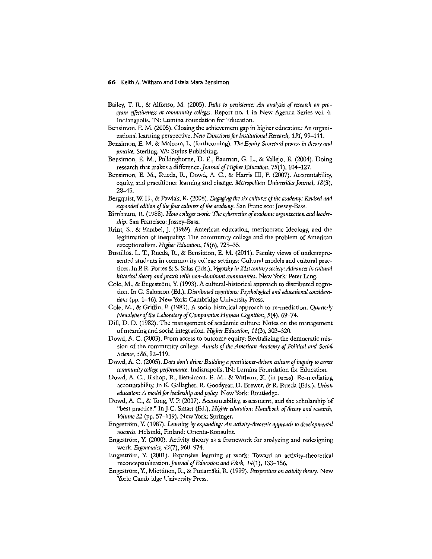- Bailey, T. R., & Alfonso, M. (2005). *Paths to persistence: An analysis of research on program effectiveness at community colleges.* Report no. 1 in New Agenda Series vol. 6. Indianapolis, IN: Lumina Foundation for Education.
- Bensimon, E. M. (2005). Closing the achievement gap in higher education: An organizational learning perspective. *New Directions for Institutional Research*, 131, 99-111.
- Bensimon, E. M & Malcom, L. (forthcoming). *The Equity Scorecard process in theory and practice.* Sterling, VA: Stylus Publishing.
- Bensimon, E. M., Polkinghorne, D. E., Bauman, G. L., & Vallejo, E. (2004). Doing research that makes a difference. Journal of Higher Education, 75(1), 104-127.
- Bensimon, E. M., Rueda, R., Dowd, A. C., & Harris Ill, F. (2007). Accountability, equity, and practitioner learning and change. *Metropolitan Universities journal, 18(3),*  28-45.
- Bergquist, W. H., & Pawlak, K (2008). *Engaging the six wltures of the academy: Revised and*  expanded edition of the four cultures of the academy. San Francisco: Jossey-Bass.
- Birnbaum, R. (1988). *How colleges work: The cybernetics cif academic organization and leader*ship. San Francisco: Jossey-Bass.
- Brint, S., & Karabel,]. (1989). American education, meritocratic ideology, and the legitimation of inequality: The community college and the problem of American exceptionalism. *Higher Education, 18(6),* 725-35.
- Bustillos, L. T., Rueda, R., & Bensimon, E. M. (2011). Faculty views of underrepresented students in community college settings: Cultural models and cultural practices. In P.R. Portes & S. Salas (Eds.), *Vygotsky in 21st century society: Advances in cultural historical theory and praxis with non-dominant communities.* New York: Peter Lang.
- Cole, M., & Engeström, Y. (1993). A cultural-historical approach to distributed cognition. In G. Salomon (Ed.), *Distributed cognitions: Psychological and educational considerations* (pp. 1-46). New York: Cambridge University Press.
- Cole, M., & Griffin, P. (1983). A socio-historical approach to re-mediation. *Quarterly Newsletter of the Laboratory of Comparative Human Cognition, 5(4), 69-74.*
- Dill, D. D. (1982). The management of academic culture: Notes on the management of meaning and social integration. *Higher Education, 11(3),* 303-320.
- Dowd, A. C. (2003). From access to outcome equity: Revitalizing the democratic mission of the community college. *Annals of the American Academy of Political and Social Science, 586,* 92-119.
- Dowd, A. C. (2005). *Data don't drive: Building a practitioner-driven culture of inquiry to assess community college performance.* Indianapolis, IN: Lumina Foundation for Education.
- Dowd, A. C., Bishop, R., Bensimon, E. M., & Witham, K (in press). Re-mediating accountability. InK. Gallagher, R. Goodyear, D. Brewer, & R. Rueda (Eds.), *Urban education: A model for leadership and policy.* New York: Routledge.
- Dowd, A. C., & Tong, V. P. (2007). Accountability, assessment, and the scholarship of "best practice." InJ.C. Smart (Ed.), *Higher education: Handbook of theory and research, volume 22* (pp. 57-119). New York: Springer.
- Engeström, Y. (1987). *Learning by expanding: An activity-theoretic approach to developmental research.* Helsinki, Finland: Orienta-Konsultit.
- Engeström, Y. (2000). Activity theory as a framework for analyzing and redesigning work. *Ergonomics, 43(7),* 960-974.
- Engeström, Y. (2001). Expansive learning at work: Toward an activity-theoretical reconceptualization. Journal of Education and Work, 14(1), 133-156.
- Engestr6m, Y., Miettinen, R., & Punamaki, R. (1999). *Perspectives on activity theory.* New York: Cambridge University Press.